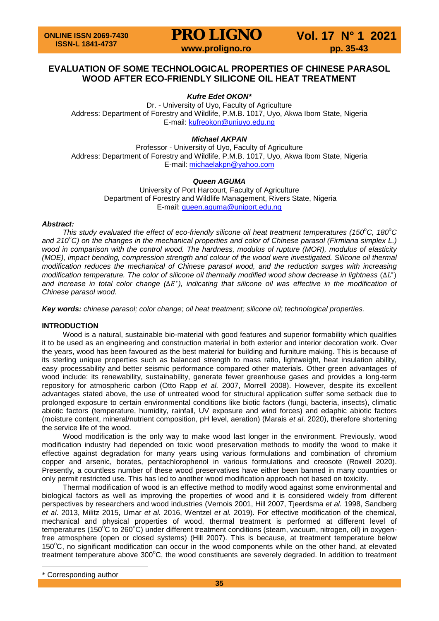### **EVALUATION OF SOME TECHNOLOGICAL PROPERTIES OF CHINESE PARASOL WOOD AFTER ECO-FRIENDLY SILICONE OIL HEAT TREATMENT**

*Kufre Edet OKON***[\\*](#page-0-0)**

Dr. - University of Uyo, Faculty of Agriculture Address: Department of Forestry and Wildlife, P.M.B. 1017, Uyo, Akwa Ibom State, Nigeria E-mail: [kufreokon@uniuyo.edu.ng](mailto:kufreokon@uniuyo.edu.ng)

*Michael AKPAN*

Professor - University of Uyo, Faculty of Agriculture Address: Department of Forestry and Wildlife, P.M.B. 1017, Uyo, Akwa Ibom State, Nigeria E-mail: [michaelakpn@yahoo.com](mailto:michaelakpn@yahoo.com)

### *Queen AGUMA*

University of Port Harcourt, Faculty of Agriculture Department of Forestry and Wildlife Management, Rivers State, Nigeria E-mail: [queen.aguma@uniport.edu.ng](mailto:queen.aguma@uniport.edu.ng)

### *Abstract:*

*This study evaluated the effect of eco-friendly silicone oil heat treatment temperatures (150°C, 180°C and 210<sup>o</sup> C) on the changes in the mechanical properties and color of Chinese parasol (Firmiana simplex L.) wood in comparison with the control wood. The hardness, modulus of rupture (MOR), modulus of elasticity (MOE), impact bending, compression strength and colour of the wood were investigated. Silicone oil thermal modification reduces the mechanical of Chinese parasol wood, and the reduction surges with increasing modification temperature. The color of silicone oil thermally modified wood show decrease in lightness (*Δ<sup>∤</sup>) *and increase in total color change (*∆<sup>∗</sup>*), indicating that silicone oil was effective in the modification of Chinese parasol wood.*

*Key words: chinese parasol; color change; oil heat treatment; silicone oil; technological properties.*

### **INTRODUCTION**

Wood is a natural, sustainable bio-material with good features and superior formability which qualifies it to be used as an engineering and construction material in both exterior and interior decoration work. Over the years, wood has been favoured as the best material for building and furniture making. This is because of its sterling unique properties such as balanced strength to mass ratio, lightweight, heat insulation ability, easy processability and better seismic performance compared other materials. Other green advantages of wood include: its renewability, sustainability, generate fewer greenhouse gases and provides a long-term repository for atmospheric carbon (Otto Rapp *et al.* 2007, Morrell 2008). However, despite its excellent advantages stated above, the use of untreated wood for structural application suffer some setback due to prolonged exposure to certain environmental conditions like biotic factors (fungi, bacteria, insects), climatic abiotic factors (temperature, humidity, rainfall, UV exposure and wind forces) and edaphic abiotic factors (moisture content, mineral/nutrient composition, pH level, aeration) (Marais *et al*. 2020), therefore shortening the service life of the wood.

Wood modification is the only way to make wood last longer in the environment. Previously, wood modification industry had depended on toxic wood preservation methods to modify the wood to make it effective against degradation for many years using various formulations and combination of chromium copper and arsenic, borates, pentachlorophenol in various formulations and creosote (Rowell 2020). Presently, a countless number of these wood preservatives have either been banned in many countries or only permit restricted use. This has led to another wood modification approach not based on toxicity.

Thermal modification of wood is an effective method to modify wood against some environmental and biological factors as well as improving the properties of wood and it is considered widely from different perspectives by researchers and wood industries (Vernois 2001, Hill 2007, Tjeerdsma *et al.* 1998, Sandberg *et al*. 2013, Militz 2015, Umar *et al.* 2016, Wentzel *et al.* 2019). For effective modification of the chemical, mechanical and physical properties of wood, thermal treatment is performed at different level of temperatures (150°C to 260°C) under different treatment conditions (steam, vacuum, nitrogen, oil) in oxygenfree atmosphere (open or closed systems) (Hill 2007). This is because, at treatment temperature below 150°C, no significant modification can occur in the wood components while on the other hand, at elevated treatment temperature above 300 $^{\circ}$ C, the wood constituents are severely degraded. In addition to treatment

 $\overline{a}$ 

<span id="page-0-0"></span><sup>\*</sup> Corresponding author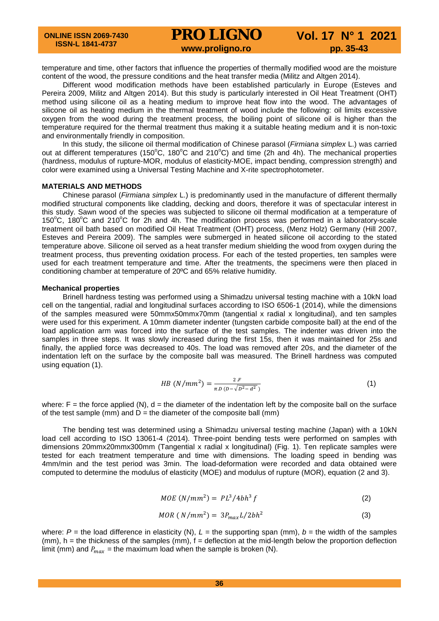## **PRO LIGNO** Vol. 17 N° 1 2021<br>www.proligno.ro pp. 35-43

temperature and time, other factors that influence the properties of thermally modified wood are the moisture content of the wood, the pressure conditions and the heat transfer media (Militz and Altgen 2014).

Different wood modification methods have been established particularly in Europe (Esteves and Pereira 2009, Militz and Altgen 2014). But this study is particularly interested in Oil Heat Treatment (OHT) method using silicone oil as a heating medium to improve heat flow into the wood. The advantages of silicone oil as heating medium in the thermal treatment of wood include the following: oil limits excessive oxygen from the wood during the treatment process, the boiling point of silicone oil is higher than the temperature required for the thermal treatment thus making it a suitable heating medium and it is non-toxic and environmentally friendly in composition.

In this study, the silicone oil thermal modification of Chinese parasol (*Firmiana simplex* L.) was carried out at different temperatures (150 $^{\circ}$ C, 180 $^{\circ}$ C and 210 $^{\circ}$ C) and time (2h and 4h). The mechanical properties (hardness, modulus of rupture-MOR, modulus of elasticity-MOE, impact bending, compression strength) and color were examined using a Universal Testing Machine and X-rite spectrophotometer.

### **MATERIALS AND METHODS**

Chinese parasol (*Firmiana simplex* L.) is predominantly used in the manufacture of different thermally modified structural components like cladding, decking and doors, therefore it was of spectacular interest in this study. Sawn wood of the species was subjected to silicone oil thermal modification at a temperature of 150°C, 180°C and 210°C for 2h and 4h. The modification process was performed in a laboratory-scale treatment oil bath based on modified Oil Heat Treatment (OHT) process, (Menz Holz) Germany (Hill 2007, Esteves and Pereira 2009). The samples were submerged in heated silicone oil according to the stated temperature above. Silicone oil served as a heat transfer medium shielding the wood from oxygen during the treatment process, thus preventing oxidation process. For each of the tested properties, ten samples were used for each treatment temperature and time. After the treatments, the specimens were then placed in conditioning chamber at temperature of 20ºC and 65% relative humidity.

### **Mechanical properties**

Brinell hardness testing was performed using a Shimadzu universal testing machine with a 10kN load cell on the tangential, radial and longitudinal surfaces according to ISO 6506-1 (2014), while the dimensions of the samples measured were 50mmx50mmx70mm (tangential x radial x longitudinal), and ten samples were used for this experiment. A 10mm diameter indenter (tungsten carbide composite ball) at the end of the load application arm was forced into the surface of the test samples. The indenter was driven into the samples in three steps. It was slowly increased during the first 15s, then it was maintained for 25s and finally, the applied force was decreased to 40s. The load was removed after 20s, and the diameter of the indentation left on the surface by the composite ball was measured. The Brinell hardness was computed using equation (1).

$$
HB\ (N/mm^2) = \frac{2.F}{\pi D\ (D-\sqrt{D^2-d^2}\ )}
$$
 (1)

where:  $F =$  the force applied (N),  $d =$  the diameter of the indentation left by the composite ball on the surface of the test sample (mm) and  $D =$  the diameter of the composite ball (mm)

The bending test was determined using a Shimadzu universal testing machine (Japan) with a 10kN load cell according to ISO 13061-4 (2014). Three-point bending tests were performed on samples with dimensions 20mmx20mmx300mm (Tangential x radial x longitudinal) (Fig. 1). Ten replicate samples were tested for each treatment temperature and time with dimensions. The loading speed in bending was 4mm/min and the test period was 3min. The load-deformation were recorded and data obtained were computed to determine the modulus of elasticity (MOE) and modulus of rupture (MOR), equation (2 and 3).

$$
MOE(N/mm2) = PL3/4bh3 f
$$
 (2)

$$
MOR(N/mm2) = 3PmaxL/2bh2
$$
 (3)

where:  $P =$  the load difference in elasticity (N),  $L =$  the supporting span (mm),  $b =$  the width of the samples  $(mm)$ , h = the thickness of the samples  $(mm)$ , f = deflection at the mid-length below the proportion deflection limit (mm) and  $P_{max}$  = the maximum load when the sample is broken (N).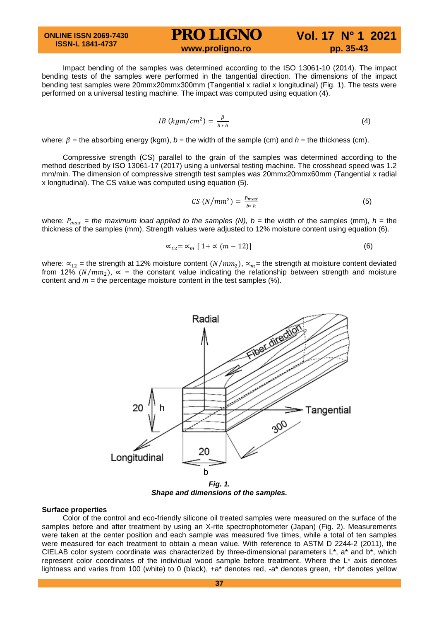**ONLINE ISSN 2069-7430 ISSN-L 1841-4737**

### **PRO LIGNO** Vol. 17 N° 1 2021<br>www.proligno.ro pp. 35-43

Impact bending of the samples was determined according to the ISO 13061-10 (2014). The impact bending tests of the samples were performed in the tangential direction. The dimensions of the impact bending test samples were 20mmx20mmx300mm (Tangential x radial x longitudinal) (Fig. 1). The tests were performed on a universal testing machine. The impact was computed using equation (4).

$$
IB\ (kgm/cm^2) = \frac{\beta}{b*h} \tag{4}
$$

where:  $\beta$  = the absorbing energy (kgm),  $b$  = the width of the sample (cm) and  $h$  = the thickness (cm).

Compressive strength (CS) parallel to the grain of the samples was determined according to the method described by ISO 13061-17 (2017) using a universal testing machine. The crosshead speed was 1.2 mm/min. The dimension of compressive strength test samples was 20mmx20mmx60mm (Tangential x radial x longitudinal). The CS value was computed using equation (5).

$$
CS\left(N/mm^2\right) = \frac{P_{max}}{b*h} \tag{5}
$$

where:  $P_{max}$  = the maximum load applied to the samples (N),  $b$  = the width of the samples (mm),  $h$  = the thickness of the samples (mm). Strength values were adjusted to 12% moisture content using equation (6).

$$
\alpha_{12} = \alpha_m \left[ 1 + \alpha \left( m - 12 \right) \right] \tag{6}
$$

where:  $\alpha_{12}$  = the strength at 12% moisture content ( $N/mm_2$ ),  $\alpha_m$  = the strength at moisture content deviated from 12% ( $N/mm_2$ ),  $\alpha$  = the constant value indicating the relationship between strength and moisture content and  $m =$  the percentage moisture content in the test samples  $(\%)$ .



*Shape and dimensions of the samples.*

#### **Surface properties**

Color of the control and eco-friendly silicone oil treated samples were measured on the surface of the samples before and after treatment by using an X-rite spectrophotometer (Japan) (Fig. 2). Measurements were taken at the center position and each sample was measured five times, while a total of ten samples were measured for each treatment to obtain a mean value. With reference to ASTM D 2244-2 (2011), the CIELAB color system coordinate was characterized by three-dimensional parameters L\*, a\* and b\*, which represent color coordinates of the individual wood sample before treatment. Where the L\* axis denotes lightness and varies from 100 (white) to 0 (black), +a\* denotes red, -a\* denotes green, +b\* denotes yellow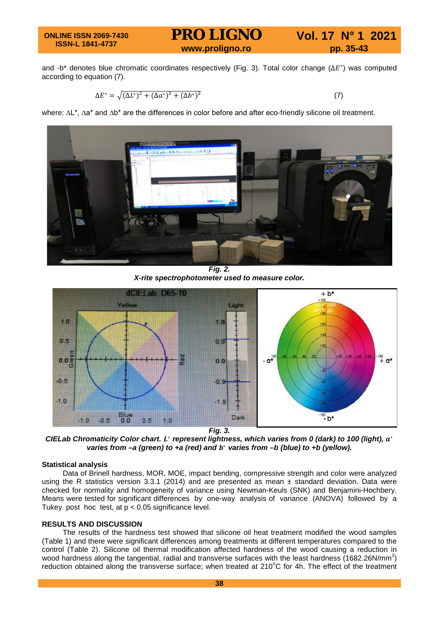#### **ONLINE ISSN 2069-7430 ISSN-L 1841-4737**

## **PRO LIGNO** Vol. 17 N° 1 2021<br>www.proligno.ro pp. 35-43

and -b\* denotes blue chromatic coordinates respectively (Fig. 3). Total color change (ΔE\*) was computed according to equation (7).

$$
\Delta E^* = \sqrt{(\Delta L^*)^2 + (\Delta a^*)^2 + (\Delta b^*)^2}
$$
 (7)

where: ∆L\*, ∆a\* and ∆b\* are the differences in color before and after eco-friendly silicone oil treatment.



*Fig. 2. X-rite spectrophotometer used to measure color.*



*CIELab Chromaticity Color chart. L<sup>\*</sup> represent lightness, which varies from 0 (dark) to 100 (light), a<sup>\*</sup> varies from –a (green) to +a (red) and b<sup>∗</sup> varies from –b (blue) to +b (yellow).* 

### **Statistical analysis**

Data of Brinell hardness, MOR, MOE, impact bending, compressive strength and color were analyzed using the R statistics version 3.3.1 (2014) and are presented as mean  $\pm$  standard deviation. Data were checked for normality and homogeneity of variance using Newman-Keuls (SNK) and Benjamini-Hochbery. Means were tested for significant differences by one-way analysis of variance (ANOVA) followed by a Tukey post hoc test, at  $p < 0.05$  significance level.

### **RESULTS AND DISCUSSION**

The results of the hardness test showed that silicone oil heat treatment modified the wood samples (Table 1) and there were significant differences among treatments at different temperatures compared to the control (Table 2). Silicone oil thermal modification affected hardness of the wood causing a reduction in wood hardness along the tangential, radial and transverse surfaces with the least hardness (1682.26N/mm<sup>2</sup>) reduction obtained along the transverse surface; when treated at 210°C for 4h. The effect of the treatment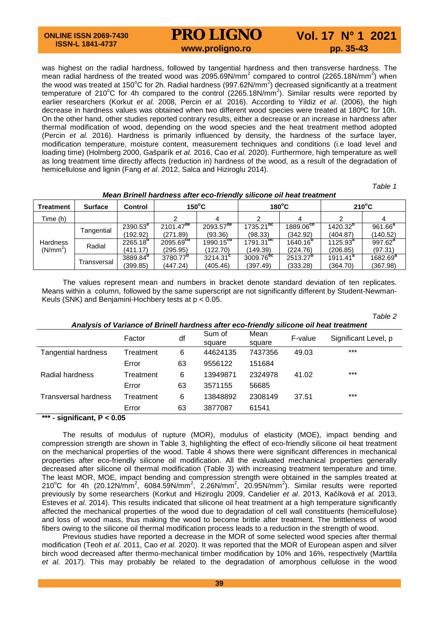# **PRO LIGNO** Vol. 17 N° 1 2021

was highest on the radial hardness, followed by tangential hardness and then transverse hardness. The mean radial hardness of the treated wood was 2095.69N/mm<sup>2</sup> compared to control (2265.18N/mm<sup>2</sup>) when the wood was treated at 150°C for 2h. Radial hardness (997.62N/mm<sup>2</sup>) decreased significantly at a treatment temperature of 210°C for 4h compared to the control (2265.18N/mm<sup>2</sup>). Similar results were reported by earlier researchers (Korkut *et al.* 2008, Percin *et al.* 2016). According to Yildiz *et al*. (2006), the high decrease in hardness values was obtained when two different wood species were treated at 180ºC for 10h. On the other hand, other studies reported contrary results, either a decrease or an increase in hardness after thermal modification of wood, depending on the wood species and the heat treatment method adopted (Percin *et al.* 2016). Hardness is primarily influenced by density, the hardness of the surface layer, modification temperature, moisture content, measurement techniques and conditions (i.e load level and loading time) (Holmberg 2000, Gašparík *et al.* 2016, Cao *et al.* 2020). Furthermore, high temperature as well as long treatment time directly affects (reduction in) hardness of the wood, as a result of the degradation of hemicellulose and lignin (Fang *et al*. 2012, Salca and Hiziroglu 2014).

*Table 1*

*Table 2*

| <b>Treatment</b>                        | <b>Surface</b> | Control              | $150^{\circ}$ C         |                       |                | $180^{\circ}$ C       | $210^{\circ}$ C      |             |
|-----------------------------------------|----------------|----------------------|-------------------------|-----------------------|----------------|-----------------------|----------------------|-------------|
| Time (h)                                |                |                      |                         |                       |                |                       |                      |             |
| <b>Hardness</b><br>(N/mm <sup>2</sup> ) | Tangential     | $2390.53^{\circ}$    | $2101.47$ <sup>de</sup> | $2093.57^{\text{de}}$ | $1735.21^{nc}$ | 1889.06 <sup>ca</sup> | $1420.32^{b}$        | $961.66^a$  |
|                                         |                | (192.92)             | (271.89)                | (93.36)               | (98.33)        | (342.92)              | (404.87)             | (140.52)    |
|                                         | Radial         | 2265.18 <sup>d</sup> | 2095.69 <sup>ca</sup>   | 1990.15 <sup>ca</sup> | $1791.31^{bc}$ | 1640.16 <sup>p</sup>  | $1125.93^a$          | $997.62^a$  |
|                                         |                | (411.17)             | (295.95)                | (122.70)              | (149.39)       | (224.76)              | (206.85)             | (97.31)     |
|                                         | Transversal    | 3889.84 <sup>d</sup> | $3780.77^{\circ}$       | $3214.31^{\circ}$     | $3009.76^{bc}$ | 2513.27 <sup>p</sup>  | 1911.41 <sup>a</sup> | $1682.69^a$ |
|                                         |                | (399.85)             | (447.24)                | (405.46)              | (397.49)       | (333.28)              | (364.70)             | (367.98)    |

*Mean Brinell hardness after eco-friendly silicone oil heat treatment*

The values represent mean and numbers in bracket denote standard deviation of ten replicates. Means within a column, followed by the same superscript are not significantly different by Student-Newman-Keuls (SNK) and Benjamini-Hochbery tests at p < 0.05.

| Analysis of Variance of Brinell hardness after eco-friendly silicone oil heat treatment |           |    |          |         |         |                       |  |  |
|-----------------------------------------------------------------------------------------|-----------|----|----------|---------|---------|-----------------------|--|--|
|                                                                                         | Factor    | df | Sum of   | Mean    | F-value | Significant Level, p. |  |  |
|                                                                                         |           |    | square   | square  |         |                       |  |  |
| <b>Tangential hardness</b>                                                              | Treatment | 6  | 44624135 | 7437356 | 49.03   | $***$                 |  |  |
|                                                                                         | Error     | 63 | 9556122  | 151684  |         |                       |  |  |
| Radial hardness                                                                         | Treatment | 6  | 13949871 | 2324978 | 41.02   | $***$                 |  |  |
|                                                                                         | Error     | 63 | 3571155  | 56685   |         |                       |  |  |
| Transversal hardness                                                                    | Treatment | 6  | 13848892 | 2308149 | 37.51   | $***$                 |  |  |
|                                                                                         | Error     | 63 | 3877087  | 61541   |         |                       |  |  |

### **\*\*\* - significant, P < 0.05**

The results of modulus of rupture (MOR), modulus of elasticity (MOE), impact bending and compression strength are shown in Table 3, highlighting the effect of eco-friendly silicone oil heat treatment on the mechanical properties of the wood. Table 4 shows there were significant differences in mechanical properties after eco-friendly silicone oil modification. All the evaluated mechanical properties generally decreased after silicone oil thermal modification (Table 3) with increasing treatment temperature and time. The least MOR, MOE, impact bending and compression strength were obtained in the samples treated at 210°C for 4h (20.12N/mm<sup>2</sup>, 6084.59N/mm<sup>2</sup>, 2.26N/mm<sup>2</sup>, 20.95N/mm<sup>2</sup>). Similar results were reported previously by some researchers (Korkut and Hiziroglu 2009, Candelier *et al*. 2013, Kačíková *et al.* 2013, Esteves *et al.* 2014). This results indicated that silicone oil heat treatment at a high temperature significantly affected the mechanical properties of the wood due to degradation of cell wall constituents (hemicellulose) and loss of wood mass, thus making the wood to become brittle after treatment. The brittleness of wood fibers owing to the silicone oil thermal modification process leads to a reduction in the strength of wood.

Previous studies have reported a decrease in the MOR of some selected wood species after thermal modification (Teoh *et al*. 2011, Cao *et al.* 2020). It was reported that the MOR of European aspen and silver birch wood decreased after thermo-mechanical timber modification by 10% and 16%, respectively (Marttila *et al.* 2017). This may probably be related to the degradation of amorphous cellulose in the wood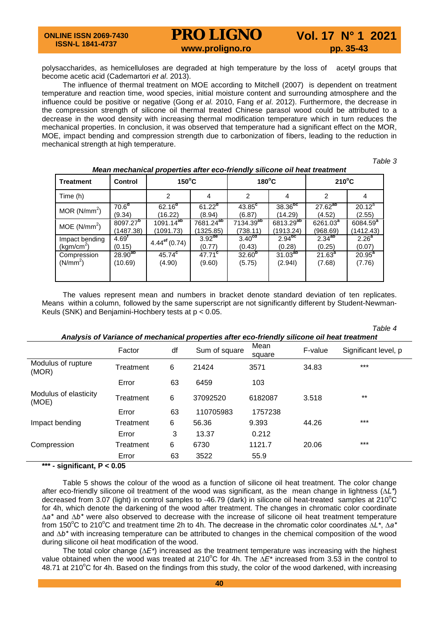polysaccharides, as hemicelluloses are degraded at high temperature by the loss of acetyl groups that become acetic acid (Cademartori *et al*. 2013).

The influence of thermal treatment on MOE according to Mitchell (2007) is dependent on treatment temperature and reaction time, wood species, initial moisture content and surrounding atmosphere and the influence could be positive or negative (Gong *et al.* 2010, Fang *et al*. 2012). Furthermore, the decrease in the compression strength of silicone oil thermal treated Chinese parasol wood could be attributed to a decrease in the wood density with increasing thermal modification temperature which in turn reduces the mechanical properties. In conclusion, it was observed that temperature had a significant effect on the MOR, MOE, impact bending and compression strength due to carbonization of fibers, leading to the reduction in mechanical strength at high temperature.

*Table 3*

| <b>Treatment</b>         | <b>Control</b>       | $150^{\circ}$ C            |                       | $180^{\circ}$ C       |                       | $210^{\circ}$ C    |                      |
|--------------------------|----------------------|----------------------------|-----------------------|-----------------------|-----------------------|--------------------|----------------------|
| Time (h)                 |                      | 2                          | 4                     | 2                     | 4                     | 2                  | 4                    |
| MOR $(N/mm2)$            | 70.6 <sup>d</sup>    | $62.16^{d}$                | $61.22^{d}$           | $43.85$ <sup>c</sup>  | 38.36 <sup>bc</sup>   | $27.62^{ab}$       | $\overline{20.12^a}$ |
|                          | (9.34)               | (16.22)                    | (8.94)                | (6.87)                | (14.29)               | (4.52)             | (2.55)               |
| MOE (N/mm <sup>2</sup> ) | 8097.27 <sup>b</sup> | $1091.14^{ab}$             | 7681.24 <sup>ab</sup> | 7134.39 <sup>ab</sup> | 6813.29 <sup>ab</sup> | $6261.03^{4}$      | 6084.59 <sup>a</sup> |
|                          | (1487.38)            | (1091.73)                  | (1325.85)             | (738.11)              | (1913.24)             | (968.69)           | (1412.43)            |
| Impact bending           | $4.69^{t}$           | $4.44^{\mathrm{ef}}(0.74)$ | $3.92$ <sup>de</sup>  | 3.40 <sup>ca</sup>    | 2.94 <sup>pc</sup>    | $2.34^{ab}$        | 2.26 <sup>a</sup>    |
| (kgm/cm $^2$ )           | (0.15)               |                            | (0.77)                | (0.43)                | (0.28)                | (0.25)             | (0.07)               |
| Compression              | $28.90^{ab}$         | 45.74 <sup>c</sup>         | $47.71^c$             | 32.60 <sup>b</sup>    | $31.03^{ab}$          | 21.63 <sup>a</sup> | $20.95^{a}$          |
| (N/mm <sup>2</sup> )     | (10.69)              | (4.90)                     | (9.60)                | (5.75)                | (2.94)                | (7.68)             | (7.76)               |

*Mean mechanical properties after eco-friendly silicone oil heat treatment*

The values represent mean and numbers in bracket denote standard deviation of ten replicates. Means within a column, followed by the same superscript are not significantly different by Student-Newman-Keuls (SNK) and Benjamini-Hochbery tests at p < 0.05.

*Table 4 Analysis of Variance of mechanical properties after eco-friendly silicone oil heat treatment* Factor df Sum of square square F-value Significant level, p Modulus of rupture moddiae of reptate Treatment 6 21424 3571 34.83 \*\*\*<br>(MOR) Error 63 6459 103 Modulus of elasticity<br>(MOE) modulab of clashony in Treatment 6 37092520 6182087 3.518 \*\*<br>(MOE) Error 63 110705983 1757238 Impact bending Treatment 6 56.36 9.393 44.26 \*\*\* Error 3 13.37 0.212 Compression Treatment 6 6730 1121.7 20.06 \*\*\* Error 63 3522 55.9

**\*\*\* - significant, P < 0.05**

Table 5 shows the colour of the wood as a function of silicone oil heat treatment. The color change after eco-friendly silicone oil treatment of the wood was significant, as the mean change in lightness (*∆L\**) decreased from 3.07 (light) in control samples to -46.79 (dark) in silicone oil heat-treated samples at 210°C for 4h, which denote the darkening of the wood after treatment. The changes in chromatic color coordinate *∆a\** and *∆b\** were also observed to decrease with the increase of silicone oil heat treatment temperature from 150<sup>°</sup>C to 210<sup>°</sup>C and treatment time 2h to 4h. The decrease in the chromatic color coordinates ∆*L\**, ∆a<sup>\*</sup> and *∆b\** with increasing temperature can be attributed to changes in the chemical composition of the wood during silicone oil heat modification of the wood.

The total color change (∆*E\**) increased as the treatment temperature was increasing with the highest value obtained when the wood was treated at 210°C for 4h. The ∆E\* increased from 3.53 in the control to 48.71 at 210°C for 4h. Based on the findings from this study, the color of the wood darkened, with increasing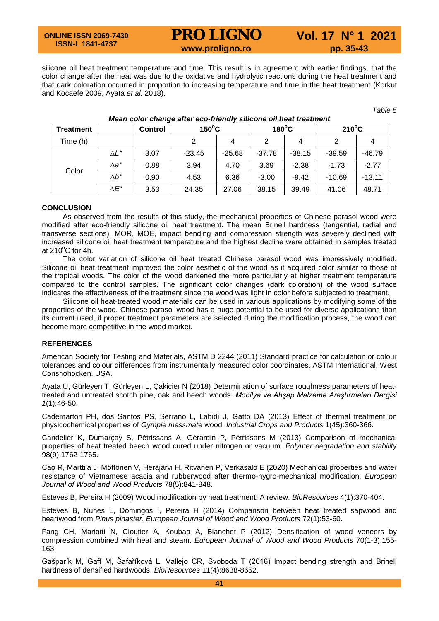### **ONLINE ISSN 2069-7430 ISSN-L 1841-4737**

# **PRO LIGNO** Vol. 17 N° 1 2021<br>www.proligno.ro pp. 35-43

silicone oil heat treatment temperature and time. This result is in agreement with earlier findings, that the color change after the heat was due to the oxidative and hydrolytic reactions during the heat treatment and that dark coloration occurred in proportion to increasing temperature and time in the heat treatment (Korkut and Kocaefe 2009, Ayata *et al.* 2018).

*Table 5*

| <b>Treatment</b> |              | <b>Control</b> | $150^{\circ}$ C |          | $180^{\circ}$ C |          | $210^{\circ}$ C |          |
|------------------|--------------|----------------|-----------------|----------|-----------------|----------|-----------------|----------|
| Time (h)         |              |                | 2               | 4        | 2               | 4        |                 |          |
| Color            | $\Delta L^*$ | 3.07           | $-23.45$        | $-25.68$ | $-37.78$        | $-38.15$ | $-39.59$        | $-46.79$ |
|                  | ∆a*          | 0.88           | 3.94            | 4.70     | 3.69            | $-2.38$  | $-1.73$         | $-2.77$  |
|                  | $\Delta b^*$ | 0.90           | 4.53            | 6.36     | $-3.00$         | $-9.42$  | $-10.69$        | $-13.11$ |
|                  | ΛE*          | 3.53           | 24.35           | 27.06    | 38.15           | 39.49    | 41.06           | 48.71    |

### *Mean color change after eco-friendly silicone oil heat treatment*

### **CONCLUSION**

As observed from the results of this study, the mechanical properties of Chinese parasol wood were modified after eco-friendly silicone oil heat treatment. The mean Brinell hardness (tangential, radial and transverse sections), MOR, MOE, impact bending and compression strength was severely declined with increased silicone oil heat treatment temperature and the highest decline were obtained in samples treated at 210 $^{\circ}$ C for 4h.

The color variation of silicone oil heat treated Chinese parasol wood was impressively modified. Silicone oil heat treatment improved the color aesthetic of the wood as it acquired color similar to those of the tropical woods. The color of the wood darkened the more particularly at higher treatment temperature compared to the control samples. The significant color changes (dark coloration) of the wood surface indicates the effectiveness of the treatment since the wood was light in color before subjected to treatment.

Silicone oil heat-treated wood materials can be used in various applications by modifying some of the properties of the wood. Chinese parasol wood has a huge potential to be used for diverse applications than its current used, if proper treatment parameters are selected during the modification process, the wood can become more competitive in the wood market.

### **REFERENCES**

American Society for Testing and Materials, ASTM D 2244 (2011) Standard practice for calculation or colour tolerances and colour differences from instrumentally measured color coordinates, ASTM International, West Conshohocken, USA.

Ayata Ü, Gürleyen T, Gürleyen L, Çakicier N (2018) Determination of surface roughness parameters of heattreated and untreated scotch pine, oak and beech woods. *Mobilya ve Ahşap Malzeme Araştırmaları Dergisi 1*(1):46-50.

Cademartori PH, dos Santos PS, Serrano L, Labidi J, Gatto DA (2013) Effect of thermal treatment on physicochemical properties of *Gympie messmate* wood. *Industrial Crops and Products* 1(45):360-366.

Candelier K, Dumarçay S, Pétrissans A, Gérardin P, Pétrissans M (2013) Comparison of mechanical properties of heat treated beech wood cured under nitrogen or vacuum. *Polymer degradation and stability*  98(9):1762-1765.

Cao R, Marttila J, Möttönen V, Heräjärvi H, Ritvanen P, Verkasalo E (2020) Mechanical properties and water resistance of Vietnamese acacia and rubberwood after thermo-hygro-mechanical modification. *European Journal of Wood and Wood Products* 78(5):841-848.

Esteves B, Pereira H (2009) Wood modification by heat treatment: A review. *BioResources* 4(1):370-404.

Esteves B, Nunes L, Domingos I, Pereira H (2014) Comparison between heat treated sapwood and heartwood from *Pinus pinaster*. *European Journal of Wood and Wood Products* 72(1):53-60.

Fang CH, Mariotti N, Cloutier A, Koubaa A, Blanchet P (2012) Densification of wood veneers by compression combined with heat and steam. *European Journal of Wood and Wood Products* 70(1-3):155- 163.

Gašparík M, Gaff M, Šafaříková L, Vallejo CR, Svoboda T (2016) Impact bending strength and Brinell hardness of densified hardwoods. *BioResources* 11(4):8638-8652.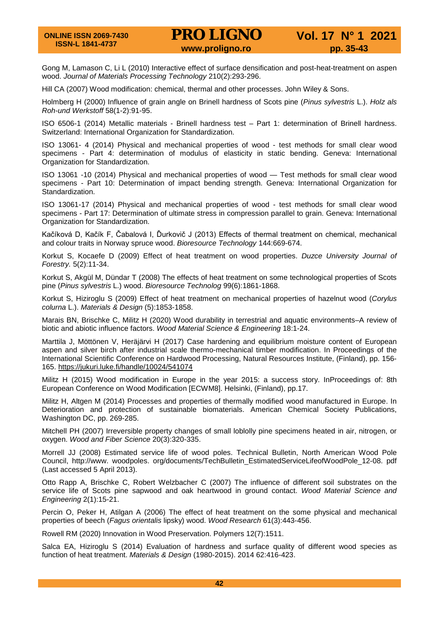Gong M, Lamason C, Li L (2010) Interactive effect of surface densification and post-heat-treatment on aspen wood. *Journal of Materials Processing Technology* 210(2):293-296.

Hill CA (2007) Wood modification: chemical, thermal and other processes. John Wiley & Sons.

Holmberg H (2000) Influence of grain angle on Brinell hardness of Scots pine (*Pinus sylvestris* L.). *Holz als Roh-und Werkstoff* 58(1-2):91-95.

ISO 6506-1 (2014) Metallic materials - Brinell hardness test – Part 1: determination of Brinell hardness. Switzerland: International Organization for Standardization.

ISO 13061- 4 (2014) Physical and mechanical properties of wood - test methods for small clear wood specimens - Part 4: determination of modulus of elasticity in static bending. Geneva: International Organization for Standardization.

ISO 13061 -10 (2014) Physical and mechanical properties of wood — Test methods for small clear wood specimens - Part 10: Determination of impact bending strength. Geneva: International Organization for Standardization.

ISO 13061-17 (2014) Physical and mechanical properties of wood - test methods for small clear wood specimens - Part 17: Determination of ultimate stress in compression parallel to grain. Geneva: International Organization for Standardization.

Kačíková D, Kačík F, Čabalová I, Ďurkovič J (2013) Effects of thermal treatment on chemical, mechanical and colour traits in Norway spruce wood. *Bioresource Technology* 144:669-674.

Korkut S, Kocaefe D (2009) Effect of heat treatment on wood properties. *Duzce University Journal of Forestry.* 5(2):11-34.

Korkut S, Akgül M, Dündar T (2008) The effects of heat treatment on some technological properties of Scots pine (*Pinus sylvestris* L.) wood. *Bioresource Technolog* 99(6):1861-1868.

Korkut S, Hiziroglu S (2009) Effect of heat treatment on mechanical properties of hazelnut wood (*Corylus colurna* L.). *Materials & Design* (5):1853-1858.

Marais BN, Brischke C, Militz H (2020) Wood durability in terrestrial and aquatic environments–A review of biotic and abiotic influence factors. *Wood Material Science & Engineering* 18:1-24.

Marttila J, Möttönen V, Heräjärvi H (2017) Case hardening and equilibrium moisture content of European aspen and silver birch after industrial scale thermo-mechanical timber modification. In Proceedings of the International Scientific Conference on Hardwood Processing, Natural Resources Institute, (Finland), pp. 156- 165.<https://jukuri.luke.fi/handle/10024/541074>

Militz H (2015) Wood modification in Europe in the year 2015: a success story. InProceedings of: 8th European Conference on Wood Modification [ECWM8]. Helsinki, (Finland), pp.17.

Militz H, Altgen M (2014) Processes and properties of thermally modified wood manufactured in Europe. In Deterioration and protection of sustainable biomaterials. American Chemical Society Publications, Washington DC, pp. 269-285.

Mitchell PH (2007) Irreversible property changes of small loblolly pine specimens heated in air, nitrogen, or oxygen. *Wood and Fiber Science* 20(3):320-335.

Morrell JJ (2008) Estimated service life of wood poles. Technical Bulletin, North American Wood Pole Council, http://www. woodpoles. org/documents/TechBulletin\_EstimatedServiceLifeofWoodPole\_12-08. pdf (Last accessed 5 April 2013).

Otto Rapp A, Brischke C, Robert Welzbacher C (2007) The influence of different soil substrates on the service life of Scots pine sapwood and oak heartwood in ground contact. *Wood Material Science and Engineering* 2(1):15-21.

Percin O, Peker H, Atilgan A (2006) The effect of heat treatment on the some physical and mechanical properties of beech (*Fagus orientalis* lipsky) wood. *Wood Research* 61(3):443-456.

Rowell RM (2020) Innovation in Wood Preservation. Polymers 12(7):1511.

Salca EA, Hiziroglu S (2014) Evaluation of hardness and surface quality of different wood species as function of heat treatment. *Materials & Design* (1980-2015). 2014 62:416-423.